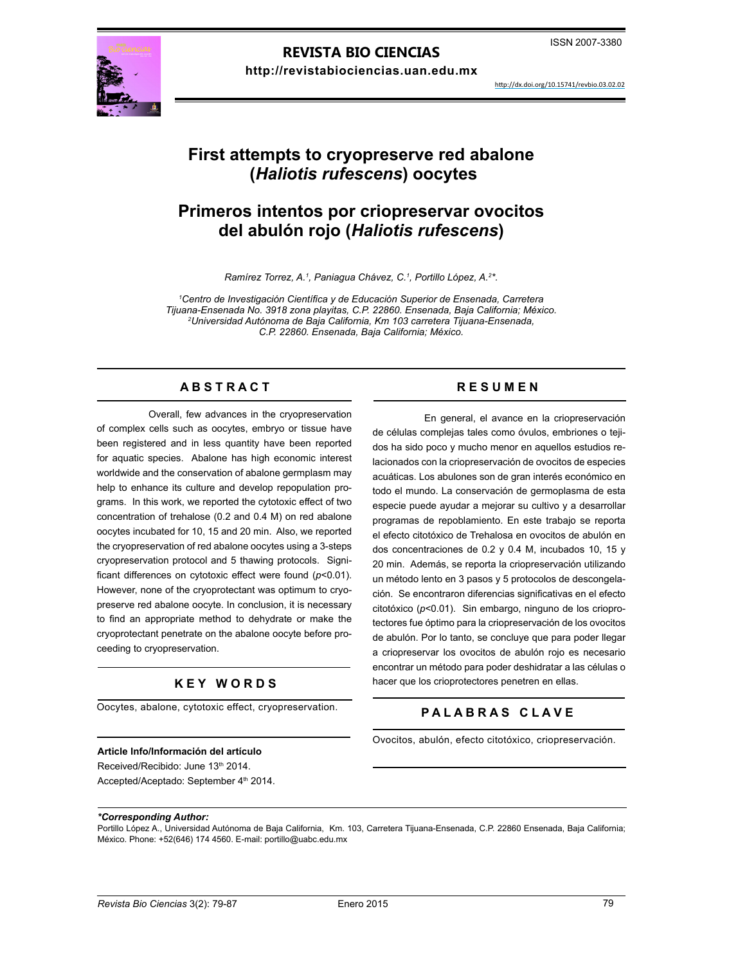# **REVISTA BIO CIENCIAS**

**http://revistabiociencias.uan.edu.mx** 



http://dx.doi.org/10.15741/revbio.03.02.02

# **First attempts to cryopreserve red abalone (***Haliotis rufescens***) oocytes**

# **Primeros intentos por criopreservar ovocitos del abulón rojo (***Haliotis rufescens***)**

*Ramírez Torrez, A.1 , Paniagua Chávez, C.1 , Portillo López, A.2 \*.*

*1 Centro de Investigación Científica y de Educación Superior de Ensenada, Carretera Tijuana-Ensenada No. 3918 zona playitas, C.P. 22860. Ensenada, Baja California; México. 2 Universidad Autónoma de Baja California, Km 103 carretera Tijuana-Ensenada, C.P. 22860. Ensenada, Baja California; México.* 

## A B S T R A C T RESUMEN

Overall, few advances in the cryopreservation of complex cells such as oocytes, embryo or tissue have been registered and in less quantity have been reported for aquatic species. Abalone has high economic interest worldwide and the conservation of abalone germplasm may help to enhance its culture and develop repopulation programs. In this work, we reported the cytotoxic effect of two concentration of trehalose (0.2 and 0.4 M) on red abalone oocytes incubated for 10, 15 and 20 min. Also, we reported the cryopreservation of red abalone oocytes using a 3-steps cryopreservation protocol and 5 thawing protocols. Significant differences on cytotoxic effect were found (*p*<0.01). However, none of the cryoprotectant was optimum to cryopreserve red abalone oocyte. In conclusion, it is necessary to find an appropriate method to dehydrate or make the cryoprotectant penetrate on the abalone oocyte before proceeding to cryopreservation.

# **K E Y W O R D S**

Oocytes, abalone, cytotoxic effect, cryopreservation.

#### **Article Info/Información del artículo**

Received/Recibido: June 13<sup>th</sup> 2014. Accepted/Aceptado: September 4<sup>th</sup> 2014.

En general, el avance en la criopreservación de células complejas tales como óvulos, embriones o tejidos ha sido poco y mucho menor en aquellos estudios relacionados con la criopreservación de ovocitos de especies acuáticas. Los abulones son de gran interés económico en todo el mundo. La conservación de germoplasma de esta especie puede ayudar a mejorar su cultivo y a desarrollar programas de repoblamiento. En este trabajo se reporta el efecto citotóxico de Trehalosa en ovocitos de abulón en dos concentraciones de 0.2 y 0.4 M, incubados 10, 15 y 20 min. Además, se reporta la criopreservación utilizando un método lento en 3 pasos y 5 protocolos de descongelación. Se encontraron diferencias significativas en el efecto citotóxico (*p*<0.01). Sin embargo, ninguno de los crioprotectores fue óptimo para la criopreservación de los ovocitos de abulón. Por lo tanto, se concluye que para poder llegar a criopreservar los ovocitos de abulón rojo es necesario encontrar un método para poder deshidratar a las células o hacer que los crioprotectores penetren en ellas.

# **P A L A B R A S C L A V E**

Ovocitos, abulón, efecto citotóxico, criopreservación.

*\*Corresponding Author:*

Portillo López A., Universidad Autónoma de Baja California, Km. 103, Carretera Tijuana-Ensenada, C.P. 22860 Ensenada, Baja California; México. Phone: +52(646) 174 4560. E-mail: portillo@uabc.edu.mx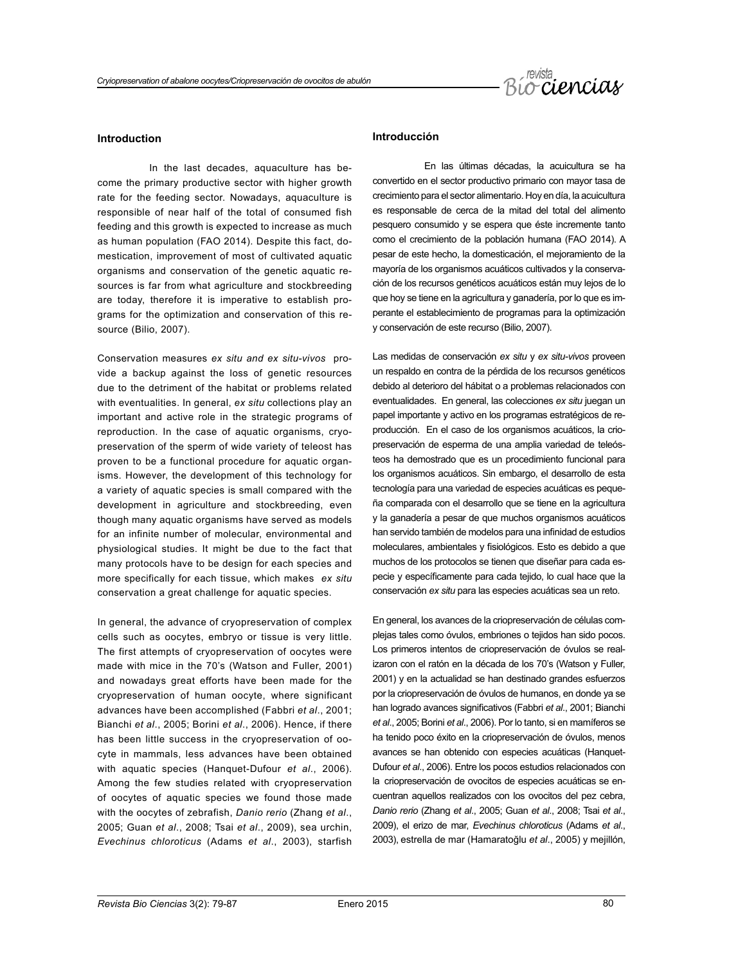

#### **Introduction**

In the last decades, aquaculture has become the primary productive sector with higher growth rate for the feeding sector. Nowadays, aquaculture is responsible of near half of the total of consumed fish feeding and this growth is expected to increase as much as human population (FAO 2014). Despite this fact, domestication, improvement of most of cultivated aquatic organisms and conservation of the genetic aquatic resources is far from what agriculture and stockbreeding are today, therefore it is imperative to establish programs for the optimization and conservation of this resource (Bilio, 2007).

Conservation measures *ex situ and ex situ-vivos* provide a backup against the loss of genetic resources due to the detriment of the habitat or problems related with eventualities. In general, *ex situ* collections play an important and active role in the strategic programs of reproduction. In the case of aquatic organisms, cryopreservation of the sperm of wide variety of teleost has proven to be a functional procedure for aquatic organisms. However, the development of this technology for a variety of aquatic species is small compared with the development in agriculture and stockbreeding, even though many aquatic organisms have served as models for an infinite number of molecular, environmental and physiological studies. It might be due to the fact that many protocols have to be design for each species and more specifically for each tissue, which makes *ex situ*  conservation a great challenge for aquatic species.

In general, the advance of cryopreservation of complex cells such as oocytes, embryo or tissue is very little. The first attempts of cryopreservation of oocytes were made with mice in the 70's (Watson and Fuller, 2001) and nowadays great efforts have been made for the cryopreservation of human oocyte, where significant advances have been accomplished (Fabbri *et al*., 2001; Bianchi *et al*., 2005; Borini *et al*., 2006). Hence, if there has been little success in the cryopreservation of oocyte in mammals, less advances have been obtained with aquatic species (Hanquet-Dufour *et al*., 2006). Among the few studies related with cryopreservation of oocytes of aquatic species we found those made with the oocytes of zebrafish, *Danio rerio* (Zhang *et al*., 2005; Guan *et al*., 2008; Tsai *et al*., 2009), sea urchin, *Evechinus chloroticus* (Adams *et al*., 2003), starfish

## **Introducción**

En las últimas décadas, la acuicultura se ha convertido en el sector productivo primario con mayor tasa de crecimiento para el sector alimentario. Hoy en día, la acuicultura es responsable de cerca de la mitad del total del alimento pesquero consumido y se espera que éste incremente tanto como el crecimiento de la población humana (FAO 2014). A pesar de este hecho, la domesticación, el mejoramiento de la mayoría de los organismos acuáticos cultivados y la conservación de los recursos genéticos acuáticos están muy lejos de lo que hoy se tiene en la agricultura y ganadería, por lo que es imperante el establecimiento de programas para la optimización y conservación de este recurso (Bilio, 2007).

Las medidas de conservación *ex situ* y *ex situ-vivos* proveen un respaldo en contra de la pérdida de los recursos genéticos debido al deterioro del hábitat o a problemas relacionados con eventualidades. En general, las colecciones *ex situ* juegan un papel importante y activo en los programas estratégicos de reproducción. En el caso de los organismos acuáticos, la criopreservación de esperma de una amplia variedad de teleósteos ha demostrado que es un procedimiento funcional para los organismos acuáticos. Sin embargo, el desarrollo de esta tecnología para una variedad de especies acuáticas es pequeña comparada con el desarrollo que se tiene en la agricultura y la ganadería a pesar de que muchos organismos acuáticos han servido también de modelos para una infinidad de estudios moleculares, ambientales y fisiológicos. Esto es debido a que muchos de los protocolos se tienen que diseñar para cada especie y específicamente para cada tejido, lo cual hace que la conservación *ex situ* para las especies acuáticas sea un reto.

En general, los avances de la criopreservación de células complejas tales como óvulos, embriones o tejidos han sido pocos. Los primeros intentos de criopreservación de óvulos se realizaron con el ratón en la década de los 70's (Watson y Fuller, 2001) y en la actualidad se han destinado grandes esfuerzos por la criopreservación de óvulos de humanos, en donde ya se han logrado avances significativos (Fabbri *et al*., 2001; Bianchi *et al*., 2005; Borini *et al*., 2006). Por lo tanto, si en mamíferos se ha tenido poco éxito en la criopreservación de óvulos, menos avances se han obtenido con especies acuáticas (Hanquet-Dufour *et al*., 2006). Entre los pocos estudios relacionados con la criopreservación de ovocitos de especies acuáticas se encuentran aquellos realizados con los ovocitos del pez cebra, *Danio rerio* (Zhang *et al*., 2005; Guan *et al*., 2008; Tsai *et al*., 2009), el erizo de mar, *Evechinus chloroticus* (Adams *et al*., 2003), estrella de mar (Hamaratoğlu *et al*., 2005) y mejillón,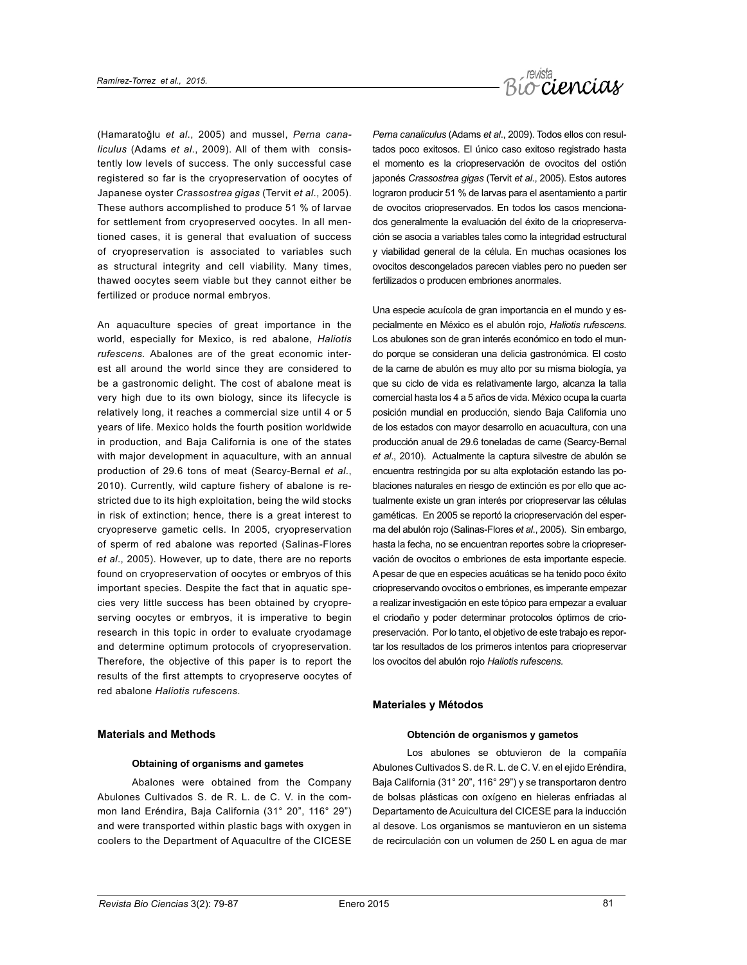

(Hamaratoğlu *et al*., 2005) and mussel, *Perna canaliculus* (Adams *et al*., 2009). All of them with consistently low levels of success. The only successful case registered so far is the cryopreservation of oocytes of Japanese oyster *Crassostrea gigas* (Tervit *et al*., 2005). These authors accomplished to produce 51 % of larvae for settlement from cryopreserved oocytes. In all mentioned cases, it is general that evaluation of success of cryopreservation is associated to variables such as structural integrity and cell viability. Many times, thawed oocytes seem viable but they cannot either be fertilized or produce normal embryos.

An aquaculture species of great importance in the world, especially for Mexico, is red abalone, *Haliotis rufescens.* Abalones are of the great economic interest all around the world since they are considered to be a gastronomic delight. The cost of abalone meat is very high due to its own biology, since its lifecycle is relatively long, it reaches a commercial size until 4 or 5 years of life. Mexico holds the fourth position worldwide in production, and Baja California is one of the states with major development in aquaculture, with an annual production of 29.6 tons of meat (Searcy-Bernal *et al*., 2010). Currently, wild capture fishery of abalone is restricted due to its high exploitation, being the wild stocks in risk of extinction; hence, there is a great interest to cryopreserve gametic cells. In 2005, cryopreservation of sperm of red abalone was reported (Salinas-Flores *et al*., 2005). However, up to date, there are no reports found on cryopreservation of oocytes or embryos of this important species. Despite the fact that in aquatic species very little success has been obtained by cryopreserving oocytes or embryos, it is imperative to begin research in this topic in order to evaluate cryodamage and determine optimum protocols of cryopreservation. Therefore, the objective of this paper is to report the results of the first attempts to cryopreserve oocytes of red abalone *Haliotis rufescens*.

#### **Materials and Methods**

#### **Obtaining of organisms and gametes**

Abalones were obtained from the Company Abulones Cultivados S. de R. L. de C. V. in the common land Eréndira, Baja California (31° 20", 116° 29") and were transported within plastic bags with oxygen in coolers to the Department of Aquacultre of the CICESE

*Perna canaliculus* (Adams *et al*., 2009). Todos ellos con resultados poco exitosos. El único caso exitoso registrado hasta el momento es la criopreservación de ovocitos del ostión japonés *Crassostrea gigas* (Tervit *et al*., 2005). Estos autores lograron producir 51 % de larvas para el asentamiento a partir de ovocitos criopreservados. En todos los casos mencionados generalmente la evaluación del éxito de la criopreservación se asocia a variables tales como la integridad estructural y viabilidad general de la célula. En muchas ocasiones los ovocitos descongelados parecen viables pero no pueden ser fertilizados o producen embriones anormales.

Una especie acuícola de gran importancia en el mundo y especialmente en México es el abulón rojo, *Haliotis rufescens*. Los abulones son de gran interés económico en todo el mundo porque se consideran una delicia gastronómica. El costo de la carne de abulón es muy alto por su misma biología, ya que su ciclo de vida es relativamente largo, alcanza la talla comercial hasta los 4 a 5 años de vida. México ocupa la cuarta posición mundial en producción, siendo Baja California uno de los estados con mayor desarrollo en acuacultura, con una producción anual de 29.6 toneladas de carne (Searcy-Bernal *et al*., 2010). Actualmente la captura silvestre de abulón se encuentra restringida por su alta explotación estando las poblaciones naturales en riesgo de extinción es por ello que actualmente existe un gran interés por criopreservar las células gaméticas. En 2005 se reportó la criopreservación del esperma del abulón rojo (Salinas-Flores *et al*., 2005). Sin embargo, hasta la fecha, no se encuentran reportes sobre la criopreservación de ovocitos o embriones de esta importante especie. A pesar de que en especies acuáticas se ha tenido poco éxito criopreservando ovocitos o embriones, es imperante empezar a realizar investigación en este tópico para empezar a evaluar el criodaño y poder determinar protocolos óptimos de criopreservación. Por lo tanto, el objetivo de este trabajo es reportar los resultados de los primeros intentos para criopreservar los ovocitos del abulón rojo *Haliotis rufescens.*

### **Materiales y Métodos**

#### **Obtención de organismos y gametos**

Los abulones se obtuvieron de la compañía Abulones Cultivados S. de R. L. de C. V. en el ejido Eréndira, Baja California (31° 20", 116° 29") y se transportaron dentro de bolsas plásticas con oxígeno en hieleras enfriadas al Departamento de Acuicultura del CICESE para la inducción al desove. Los organismos se mantuvieron en un sistema de recirculación con un volumen de 250 L en agua de mar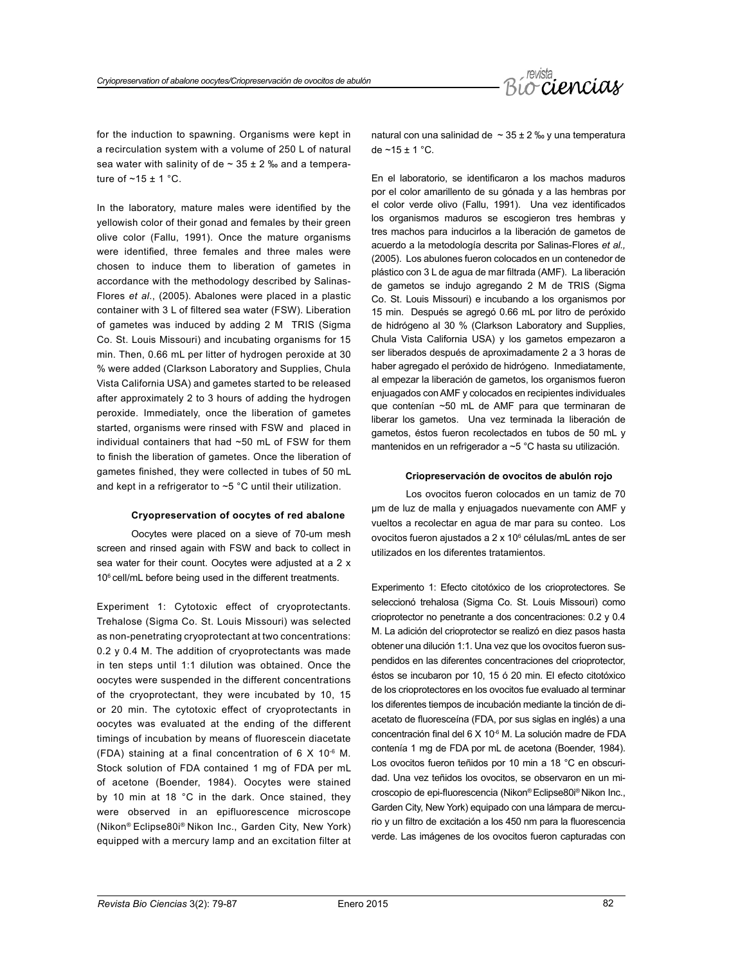

for the induction to spawning. Organisms were kept in a recirculation system with a volume of 250 L of natural sea water with salinity of de  $\sim$  35  $\pm$  2 ‰ and a temperature of  $\sim$ 15 ± 1 °C.

In the laboratory, mature males were identified by the yellowish color of their gonad and females by their green olive color (Fallu, 1991). Once the mature organisms were identified, three females and three males were chosen to induce them to liberation of gametes in accordance with the methodology described by Salinas-Flores *et al*., (2005). Abalones were placed in a plastic container with 3 L of filtered sea water (FSW). Liberation of gametes was induced by adding 2 M TRIS (Sigma Co. St. Louis Missouri) and incubating organisms for 15 min. Then, 0.66 mL per litter of hydrogen peroxide at 30 % were added (Clarkson Laboratory and Supplies, Chula Vista California USA) and gametes started to be released after approximately 2 to 3 hours of adding the hydrogen peroxide. Immediately, once the liberation of gametes started, organisms were rinsed with FSW and placed in individual containers that had ~50 mL of FSW for them to finish the liberation of gametes. Once the liberation of gametes finished, they were collected in tubes of 50 mL and kept in a refrigerator to ~5 °C until their utilization.

#### **Cryopreservation of oocytes of red abalone**

Oocytes were placed on a sieve of 70-um mesh screen and rinsed again with FSW and back to collect in sea water for their count. Oocytes were adjusted at a 2 x 10<sup>6</sup> cell/mL before being used in the different treatments.

Experiment 1: Cytotoxic effect of cryoprotectants. Trehalose (Sigma Co. St. Louis Missouri) was selected as non-penetrating cryoprotectant at two concentrations: 0.2 y 0.4 M. The addition of cryoprotectants was made in ten steps until 1:1 dilution was obtained. Once the oocytes were suspended in the different concentrations of the cryoprotectant, they were incubated by 10, 15 or 20 min. The cytotoxic effect of cryoprotectants in oocytes was evaluated at the ending of the different timings of incubation by means of fluorescein diacetate (FDA) staining at a final concentration of  $6 \times 10^{-6}$  M. Stock solution of FDA contained 1 mg of FDA per mL of acetone (Boender, 1984). Oocytes were stained by 10 min at 18 °C in the dark. Once stained, they were observed in an epifluorescence microscope (Nikon® Eclipse80i® Nikon Inc., Garden City, New York) equipped with a mercury lamp and an excitation filter at natural con una salinidad de  $\sim$  35 ± 2 ‰ y una temperatura de  $~15 + 1$  °C.

En el laboratorio, se identificaron a los machos maduros por el color amarillento de su gónada y a las hembras por el color verde olivo (Fallu, 1991). Una vez identificados los organismos maduros se escogieron tres hembras y tres machos para inducirlos a la liberación de gametos de acuerdo a la metodología descrita por Salinas-Flores *et al.,* (2005). Los abulones fueron colocados en un contenedor de plástico con 3 L de agua de mar filtrada (AMF). La liberación de gametos se indujo agregando 2 M de TRIS (Sigma Co. St. Louis Missouri) e incubando a los organismos por 15 min. Después se agregó 0.66 mL por litro de peróxido de hidrógeno al 30 % (Clarkson Laboratory and Supplies, Chula Vista California USA) y los gametos empezaron a ser liberados después de aproximadamente 2 a 3 horas de haber agregado el peróxido de hidrógeno. Inmediatamente, al empezar la liberación de gametos, los organismos fueron enjuagados con AMF y colocados en recipientes individuales que contenían ~50 mL de AMF para que terminaran de liberar los gametos. Una vez terminada la liberación de gametos, éstos fueron recolectados en tubos de 50 mL y mantenidos en un refrigerador a ~5 °C hasta su utilización.

#### **Criopreservación de ovocitos de abulón rojo**

Los ovocitos fueron colocados en un tamiz de 70 µm de luz de malla y enjuagados nuevamente con AMF y vueltos a recolectar en agua de mar para su conteo. Los ovocitos fueron ajustados a 2 x 10<sup>6</sup> células/mL antes de ser utilizados en los diferentes tratamientos.

Experimento 1: Efecto citotóxico de los crioprotectores. Se seleccionó trehalosa (Sigma Co. St. Louis Missouri) como crioprotector no penetrante a dos concentraciones: 0.2 y 0.4 M. La adición del crioprotector se realizó en diez pasos hasta obtener una dilución 1:1. Una vez que los ovocitos fueron suspendidos en las diferentes concentraciones del crioprotector, éstos se incubaron por 10, 15 ó 20 min. El efecto citotóxico de los crioprotectores en los ovocitos fue evaluado al terminar los diferentes tiempos de incubación mediante la tinción de diacetato de fluoresceína (FDA, por sus siglas en inglés) a una concentración final del 6 X 10<sup>-6</sup> M. La solución madre de FDA contenía 1 mg de FDA por mL de acetona (Boender, 1984). Los ovocitos fueron teñidos por 10 min a 18 °C en obscuridad. Una vez teñidos los ovocitos, se observaron en un microscopio de epi-fluorescencia (Nikon® Eclipse80i® Nikon Inc., Garden City, New York) equipado con una lámpara de mercurio y un filtro de excitación a los 450 nm para la fluorescencia verde. Las imágenes de los ovocitos fueron capturadas con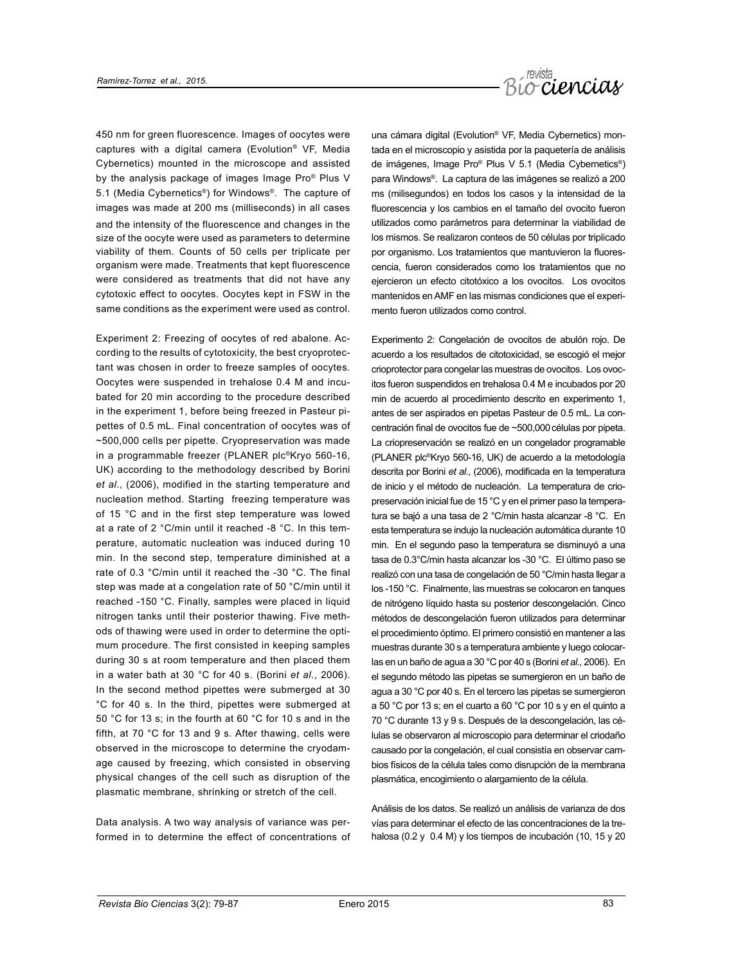

450 nm for green fluorescence. Images of oocytes were captures with a digital camera (Evolution® VF, Media Cybernetics) mounted in the microscope and assisted by the analysis package of images Image Pro® Plus V 5.1 (Media Cybernetics®) for Windows®. The capture of images was made at 200 ms (milliseconds) in all cases and the intensity of the fluorescence and changes in the size of the oocyte were used as parameters to determine viability of them. Counts of 50 cells per triplicate per organism were made. Treatments that kept fluorescence were considered as treatments that did not have any cytotoxic effect to oocytes. Oocytes kept in FSW in the same conditions as the experiment were used as control.

Experiment 2: Freezing of oocytes of red abalone. According to the results of cytotoxicity, the best cryoprotectant was chosen in order to freeze samples of oocytes. Oocytes were suspended in trehalose 0.4 M and incubated for 20 min according to the procedure described in the experiment 1, before being freezed in Pasteur pipettes of 0.5 mL. Final concentration of oocytes was of ~500,000 cells per pipette. Cryopreservation was made in a programmable freezer (PLANER plc®Kryo 560-16, UK) according to the methodology described by Borini *et al*., (2006), modified in the starting temperature and nucleation method. Starting freezing temperature was of 15 °C and in the first step temperature was lowed at a rate of 2 °C/min until it reached -8 °C. In this temperature, automatic nucleation was induced during 10 min. In the second step, temperature diminished at a rate of 0.3 °C/min until it reached the -30 °C. The final step was made at a congelation rate of 50 °C/min until it reached -150 °C. Finally, samples were placed in liquid nitrogen tanks until their posterior thawing. Five methods of thawing were used in order to determine the optimum procedure. The first consisted in keeping samples during 30 s at room temperature and then placed them in a water bath at 30 °C for 40 s. (Borini *et al.*, 2006). In the second method pipettes were submerged at 30 °C for 40 s. In the third, pipettes were submerged at 50 °C for 13 s; in the fourth at 60 °C for 10 s and in the fifth, at 70 °C for 13 and 9 s. After thawing, cells were observed in the microscope to determine the cryodamage caused by freezing, which consisted in observing physical changes of the cell such as disruption of the plasmatic membrane, shrinking or stretch of the cell.

Data analysis. A two way analysis of variance was performed in to determine the effect of concentrations of una cámara digital (Evolution® VF, Media Cybernetics) montada en el microscopio y asistida por la paquetería de análisis de imágenes, Image Pro® Plus V 5.1 (Media Cybernetics®) para Windows®. La captura de las imágenes se realizó a 200 ms (milisegundos) en todos los casos y la intensidad de la fluorescencia y los cambios en el tamaño del ovocito fueron utilizados como parámetros para determinar la viabilidad de los mismos. Se realizaron conteos de 50 células por triplicado por organismo. Los tratamientos que mantuvieron la fluorescencia, fueron considerados como los tratamientos que no ejercieron un efecto citotóxico a los ovocitos. Los ovocitos mantenidos en AMF en las mismas condiciones que el experimento fueron utilizados como control.

Experimento 2: Congelación de ovocitos de abulón rojo. De acuerdo a los resultados de citotoxicidad, se escogió el mejor crioprotector para congelar las muestras de ovocitos. Los ovocitos fueron suspendidos en trehalosa 0.4 M e incubados por 20 min de acuerdo al procedimiento descrito en experimento 1, antes de ser aspirados en pipetas Pasteur de 0.5 mL. La concentración final de ovocitos fue de ~500,000células por pipeta. La criopreservación se realizó en un congelador programable (PLANER plc®Kryo 560-16, UK) de acuerdo a la metodología descrita por Borini *et al*., (2006), modificada en la temperatura de inicio y el método de nucleación. La temperatura de criopreservación inicial fue de 15 °C y en el primer paso la temperatura se bajó a una tasa de 2 °C/min hasta alcanzar -8 °C. En esta temperatura se indujo la nucleación automática durante 10 min. En el segundo paso la temperatura se disminuyó a una tasa de 0.3°C/min hasta alcanzar los -30 °C. El último paso se realizó con una tasa de congelación de 50 °C/min hasta llegar a los -150 °C. Finalmente, las muestras se colocaron en tanques de nitrógeno líquido hasta su posterior descongelación. Cinco métodos de descongelación fueron utilizados para determinar el procedimiento óptimo. El primero consistió en mantener a las muestras durante 30 s a temperatura ambiente y luego colocarlas en un baño de agua a 30 °C por 40 s (Borini *et al.,* 2006). En el segundo método las pipetas se sumergieron en un baño de agua a 30 °C por 40 s. En el tercero las pipetas se sumergieron a 50 °C por 13 s; en el cuarto a 60 °C por 10 s y en el quinto a 70 °C durante 13 y 9 s. Después de la descongelación, las células se observaron al microscopio para determinar el criodaño causado por la congelación, el cual consistía en observar cambios físicos de la célula tales como disrupción de la membrana plasmática, encogimiento o alargamiento de la célula.

Análisis de los datos. Se realizó un análisis de varianza de dos vías para determinar el efecto de las concentraciones de la trehalosa (0.2 y 0.4 M) y los tiempos de incubación (10, 15 y 20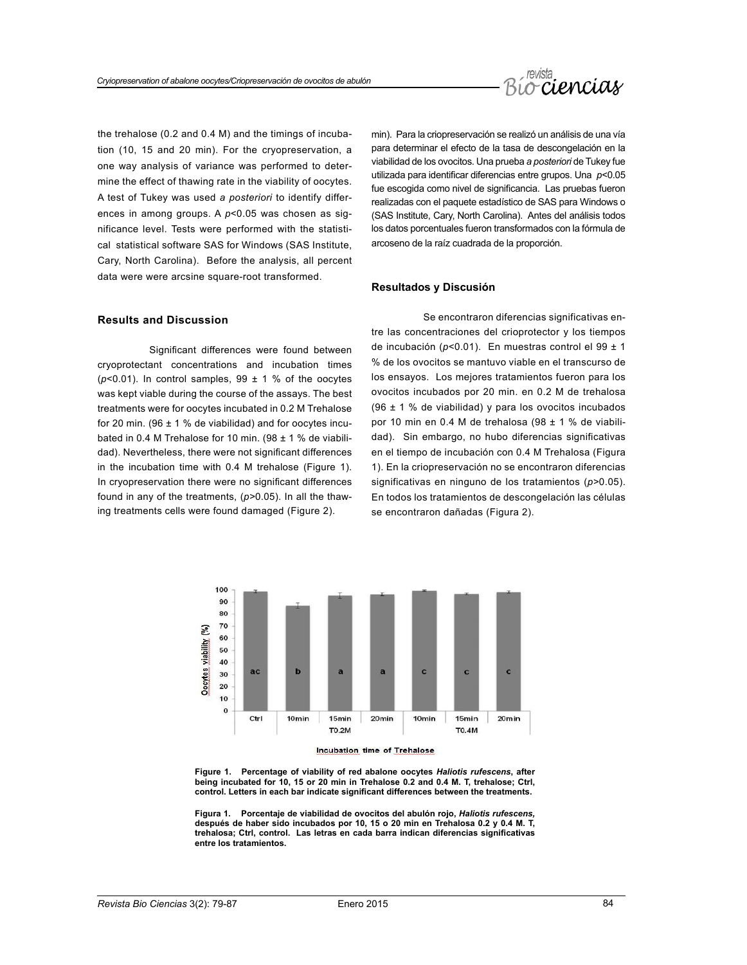

the trehalose (0.2 and 0.4 M) and the timings of incubation (10, 15 and 20 min). For the cryopreservation, a one way analysis of variance was performed to determine the effect of thawing rate in the viability of oocytes. A test of Tukey was used *a posteriori* to identify differences in among groups. A *p*<0.05 was chosen as significance level. Tests were performed with the statistical statistical software SAS for Windows (SAS Institute, Cary, North Carolina). Before the analysis, all percent data were were arcsine square-root transformed.

min). Para la criopreservación se realizó un análisis de una vía para determinar el efecto de la tasa de descongelación en la viabilidad de los ovocitos. Una prueba *a posteriori* de Tukey fue utilizada para identificar diferencias entre grupos. Una *p*<0.05 fue escogida como nivel de significancia. Las pruebas fueron realizadas con el paquete estadístico de SAS para Windows o (SAS Institute, Cary, North Carolina). Antes del análisis todos los datos porcentuales fueron transformados con la fórmula de arcoseno de la raíz cuadrada de la proporción.

### **Resultados y Discusión**

# **Results and Discussion**

Significant differences were found between cryoprotectant concentrations and incubation times ( $p$ <0.01). In control samples,  $99 \pm 1$  % of the oocytes was kept viable during the course of the assays. The best treatments were for oocytes incubated in 0.2 M Trehalose for 20 min. (96  $\pm$  1 % de viabilidad) and for oocytes incubated in 0.4 M Trehalose for 10 min. (98 ± 1 % de viabilidad). Nevertheless, there were not significant differences in the incubation time with 0.4 M trehalose (Figure 1). In cryopreservation there were no significant differences found in any of the treatments, (*p>*0.05). In all the thawing treatments cells were found damaged (Figure 2).

Se encontraron diferencias significativas entre las concentraciones del crioprotector y los tiempos de incubación (*p*<0.01). En muestras control el 99 ± 1 % de los ovocitos se mantuvo viable en el transcurso de los ensayos. Los mejores tratamientos fueron para los ovocitos incubados por 20 min. en 0.2 M de trehalosa (96 ± 1 % de viabilidad) y para los ovocitos incubados por 10 min en 0.4 M de trehalosa (98  $\pm$  1 % de viabilidad). Sin embargo, no hubo diferencias significativas en el tiempo de incubación con 0.4 M Trehalosa (Figura 1). En la criopreservación no se encontraron diferencias significativas en ninguno de los tratamientos (*p>*0.05). En todos los tratamientos de descongelación las células se encontraron dañadas (Figura 2).



**Figure 1. Percentage of viability of red abalone oocytes** *Haliotis rufescens***, after being incubated for 10, 15 or 20 min in Trehalose 0.2 and 0.4 M. T, trehalose; Ctrl, control. Letters in each bar indicate significant differences between the treatments.**

**Figura 1. Porcentaje de viabilidad de ovocitos del abulón rojo,** *Haliotis rufescens,* **después de haber sido incubados por 10, 15 o 20 min en Trehalosa 0.2 y 0.4 M. T, trehalosa; Ctrl, control. Las letras en cada barra indican diferencias significativas entre los tratamientos.**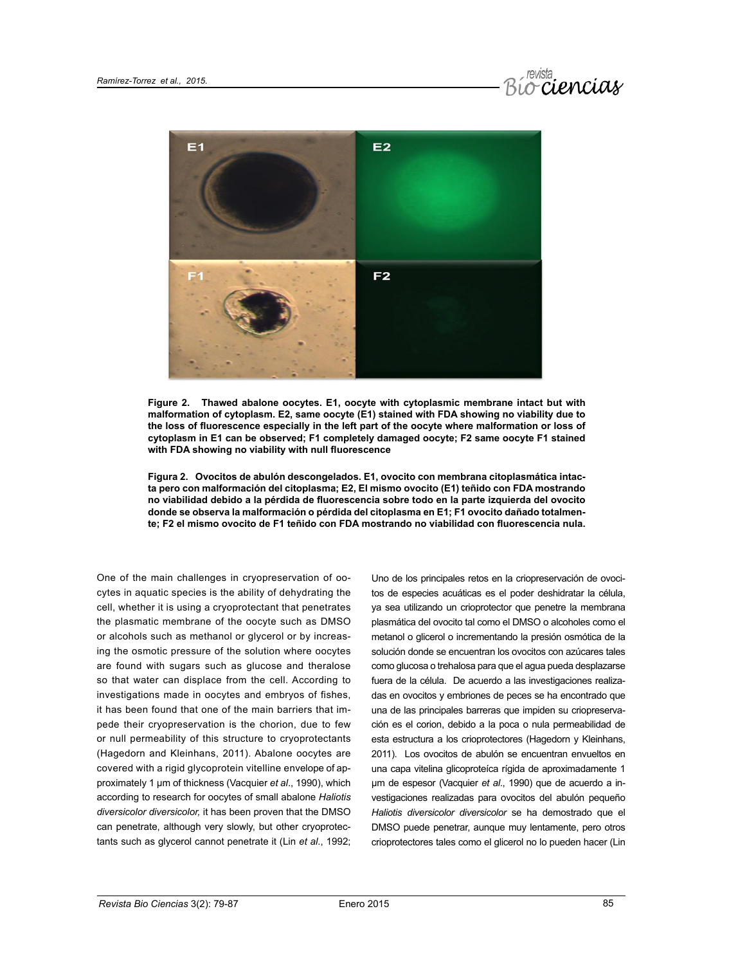



**Figure 2. Thawed abalone oocytes. E1, oocyte with cytoplasmic membrane intact but with malformation of cytoplasm. E2, same oocyte (E1) stained with FDA showing no viability due to the loss of fluorescence especially in the left part of the oocyte where malformation or loss of cytoplasm in E1 can be observed; F1 completely damaged oocyte; F2 same oocyte F1 stained with FDA showing no viability with null fluorescence**

**Figura 2. Ovocitos de abulón descongelados. E1, ovocito con membrana citoplasmática intacta pero con malformación del citoplasma; E2, El mismo ovocito (E1) teñido con FDA mostrando no viabilidad debido a la pérdida de fluorescencia sobre todo en la parte izquierda del ovocito donde se observa la malformación o pérdida del citoplasma en E1; F1 ovocito dañado totalmente; F2 el mismo ovocito de F1 teñido con FDA mostrando no viabilidad con fluorescencia nula.**

One of the main challenges in cryopreservation of oocytes in aquatic species is the ability of dehydrating the cell, whether it is using a cryoprotectant that penetrates the plasmatic membrane of the oocyte such as DMSO or alcohols such as methanol or glycerol or by increasing the osmotic pressure of the solution where oocytes are found with sugars such as glucose and theralose so that water can displace from the cell. According to investigations made in oocytes and embryos of fishes, it has been found that one of the main barriers that impede their cryopreservation is the chorion, due to few or null permeability of this structure to cryoprotectants (Hagedorn and Kleinhans, 2011). Abalone oocytes are covered with a rigid glycoprotein vitelline envelope of approximately 1 µm of thickness (Vacquier *et al*., 1990), which according to research for oocytes of small abalone *Haliotis diversicolor diversicolor,* it has been proven that the DMSO can penetrate, although very slowly, but other cryoprotectants such as glycerol cannot penetrate it (Lin *et al*., 1992; Uno de los principales retos en la criopreservación de ovocitos de especies acuáticas es el poder deshidratar la célula, ya sea utilizando un crioprotector que penetre la membrana plasmática del ovocito tal como el DMSO o alcoholes como el metanol o glicerol o incrementando la presión osmótica de la solución donde se encuentran los ovocitos con azúcares tales como glucosa o trehalosa para que el agua pueda desplazarse fuera de la célula. De acuerdo a las investigaciones realizadas en ovocitos y embriones de peces se ha encontrado que una de las principales barreras que impiden su criopreservación es el corion, debido a la poca o nula permeabilidad de esta estructura a los crioprotectores (Hagedorn y Kleinhans, 2011). Los ovocitos de abulón se encuentran envueltos en una capa vitelina glicoproteíca rígida de aproximadamente 1 µm de espesor (Vacquier *et al*., 1990) que de acuerdo a investigaciones realizadas para ovocitos del abulón pequeño *Haliotis diversicolor diversicolor* se ha demostrado que el DMSO puede penetrar, aunque muy lentamente, pero otros crioprotectores tales como el glicerol no lo pueden hacer (Lin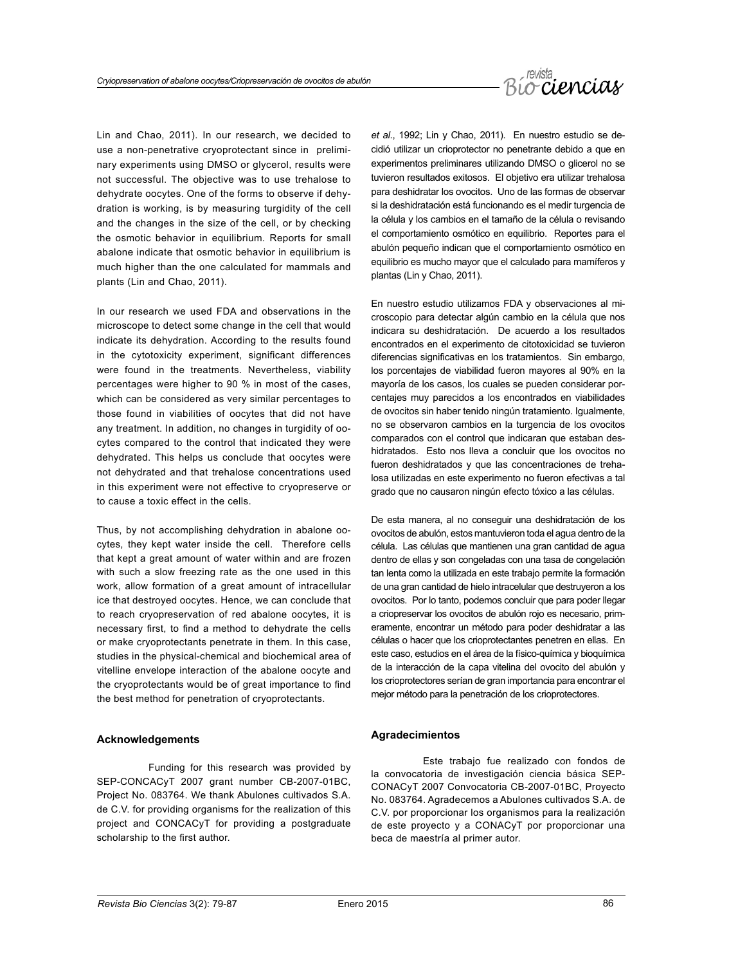

Lin and Chao, 2011). In our research, we decided to use a non-penetrative cryoprotectant since in preliminary experiments using DMSO or glycerol, results were not successful. The objective was to use trehalose to dehydrate oocytes. One of the forms to observe if dehydration is working, is by measuring turgidity of the cell and the changes in the size of the cell, or by checking the osmotic behavior in equilibrium. Reports for small abalone indicate that osmotic behavior in equilibrium is much higher than the one calculated for mammals and plants (Lin and Chao, 2011).

In our research we used FDA and observations in the microscope to detect some change in the cell that would indicate its dehydration. According to the results found in the cytotoxicity experiment, significant differences were found in the treatments. Nevertheless, viability percentages were higher to 90 % in most of the cases, which can be considered as very similar percentages to those found in viabilities of oocytes that did not have any treatment. In addition, no changes in turgidity of oocytes compared to the control that indicated they were dehydrated. This helps us conclude that oocytes were not dehydrated and that trehalose concentrations used in this experiment were not effective to cryopreserve or to cause a toxic effect in the cells.

Thus, by not accomplishing dehydration in abalone oocytes, they kept water inside the cell. Therefore cells that kept a great amount of water within and are frozen with such a slow freezing rate as the one used in this work, allow formation of a great amount of intracellular ice that destroyed oocytes. Hence, we can conclude that to reach cryopreservation of red abalone oocytes, it is necessary first, to find a method to dehydrate the cells or make cryoprotectants penetrate in them. In this case, studies in the physical-chemical and biochemical area of vitelline envelope interaction of the abalone oocyte and the cryoprotectants would be of great importance to find the best method for penetration of cryoprotectants.

#### **Acknowledgements**

Funding for this research was provided by SEP-CONCACyT 2007 grant number CB-2007-01BC, Project No. 083764. We thank Abulones cultivados S.A. de C.V. for providing organisms for the realization of this project and CONCACyT for providing a postgraduate scholarship to the first author.

*et al*., 1992; Lin y Chao, 2011). En nuestro estudio se decidió utilizar un crioprotector no penetrante debido a que en experimentos preliminares utilizando DMSO o glicerol no se tuvieron resultados exitosos. El objetivo era utilizar trehalosa para deshidratar los ovocitos. Uno de las formas de observar si la deshidratación está funcionando es el medir turgencia de la célula y los cambios en el tamaño de la célula o revisando el comportamiento osmótico en equilibrio. Reportes para el abulón pequeño indican que el comportamiento osmótico en equilibrio es mucho mayor que el calculado para mamíferos y plantas (Lin y Chao, 2011).

En nuestro estudio utilizamos FDA y observaciones al microscopio para detectar algún cambio en la célula que nos indicara su deshidratación. De acuerdo a los resultados encontrados en el experimento de citotoxicidad se tuvieron diferencias significativas en los tratamientos. Sin embargo, los porcentajes de viabilidad fueron mayores al 90% en la mayoría de los casos, los cuales se pueden considerar porcentajes muy parecidos a los encontrados en viabilidades de ovocitos sin haber tenido ningún tratamiento. Igualmente, no se observaron cambios en la turgencia de los ovocitos comparados con el control que indicaran que estaban deshidratados. Esto nos lleva a concluir que los ovocitos no fueron deshidratados y que las concentraciones de trehalosa utilizadas en este experimento no fueron efectivas a tal grado que no causaron ningún efecto tóxico a las células.

De esta manera, al no conseguir una deshidratación de los ovocitos de abulón, estos mantuvieron toda el agua dentro de la célula. Las células que mantienen una gran cantidad de agua dentro de ellas y son congeladas con una tasa de congelación tan lenta como la utilizada en este trabajo permite la formación de una gran cantidad de hielo intracelular que destruyeron a los ovocitos. Por lo tanto, podemos concluir que para poder llegar a criopreservar los ovocitos de abulón rojo es necesario, primeramente, encontrar un método para poder deshidratar a las células o hacer que los crioprotectantes penetren en ellas. En este caso, estudios en el área de la físico-química y bioquímica de la interacción de la capa vitelina del ovocito del abulón y los crioprotectores serían de gran importancia para encontrar el mejor método para la penetración de los crioprotectores.

#### **Agradecimientos**

Este trabajo fue realizado con fondos de la convocatoria de investigación ciencia básica SEP-CONACyT 2007 Convocatoria CB-2007-01BC, Proyecto No. 083764. Agradecemos a Abulones cultivados S.A. de C.V. por proporcionar los organismos para la realización de este proyecto y a CONACyT por proporcionar una beca de maestría al primer autor.